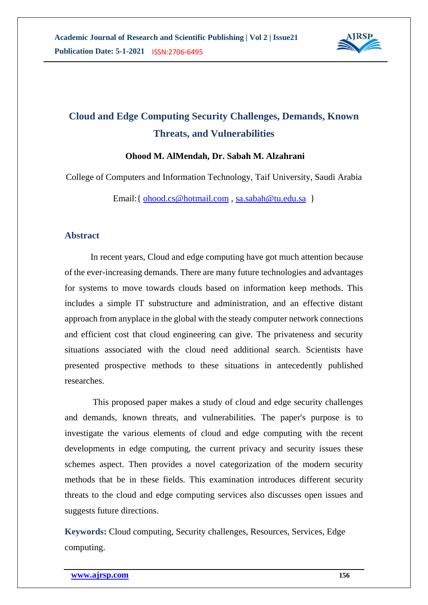

# **Cloud and Edge Computing Security Challenges, Demands, Known Threats, and Vulnerabilities**

#### **Ohood M. AlMendah, Dr. Sabah M. Alzahrani**

College of Computers and Information Technology, Taif University, Saudi Arabia

Email:{ [ohood.cs@hotmail.com](mailto:ohood.cs@hotmail.com) , [sa.sabah@tu.edu.sa](mailto:sa.sabah@tu.edu.sa) }

#### **Abstract**

In recent years, Cloud and edge computing have got much attention because of the ever-increasing demands. There are many future technologies and advantages for systems to move towards clouds based on information keep methods. This includes a simple IT substructure and administration, and an effective distant approach from anyplace in the global with the steady computer network connections and efficient cost that cloud engineering can give. The privateness and security situations associated with the cloud need additional search. Scientists have presented prospective methods to these situations in antecedently published researches.

This proposed paper makes a study of cloud and edge security challenges and demands, known threats, and vulnerabilities. The paper's purpose is to investigate the various elements of cloud and edge computing with the recent developments in edge computing, the current privacy and security issues these schemes aspect. Then provides a novel categorization of the modern security methods that be in these fields. This examination introduces different security threats to the cloud and edge computing services also discusses open issues and suggests future directions.

**Keywords:** Cloud computing, Security challenges, Resources, Services, Edge computing.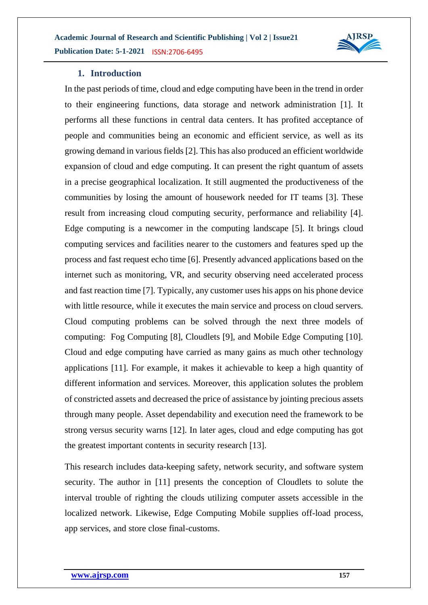

#### **1. Introduction**

In the past periods of time, cloud and edge computing have been in the trend in order to their engineering functions, data storage and network administration [1]. It performs all these functions in central data centers. It has profited acceptance of people and communities being an economic and efficient service, as well as its growing demand in various fields [2]. This has also produced an efficient worldwide expansion of cloud and edge computing. It can present the right quantum of assets in a precise geographical localization. It still augmented the productiveness of the communities by losing the amount of housework needed for IT teams [3]. These result from increasing cloud computing security, performance and reliability [4]. Edge computing is a newcomer in the computing landscape [5]. It brings cloud computing services and facilities nearer to the customers and features sped up the process and fast request echo time [6]. Presently advanced applications based on the internet such as monitoring, VR, and security observing need accelerated process and fast reaction time [7]. Typically, any customer uses his apps on his phone device with little resource, while it executes the main service and process on cloud servers. Cloud computing problems can be solved through the next three models of computing: Fog Computing [8], Cloudlets [9], and Mobile Edge Computing [10]. Cloud and edge computing have carried as many gains as much other technology applications [11]. For example, it makes it achievable to keep a high quantity of different information and services. Moreover, this application solutes the problem of constricted assets and decreased the price of assistance by jointing precious assets through many people. Asset dependability and execution need the framework to be strong versus security warns [12]. In later ages, cloud and edge computing has got the greatest important contents in security research [13].

This research includes data-keeping safety, network security, and software system security. The author in [11] presents the conception of Cloudlets to solute the interval trouble of righting the clouds utilizing computer assets accessible in the localized network. Likewise, Edge Computing Mobile supplies off-load process, app services, and store close final-customs.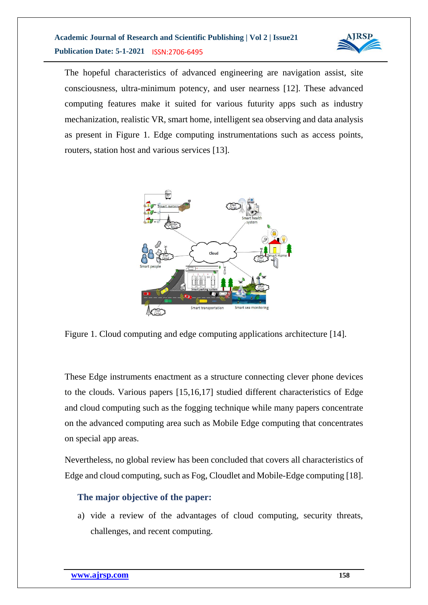

The hopeful characteristics of advanced engineering are navigation assist, site consciousness, ultra-minimum potency, and user nearness [12]. These advanced computing features make it suited for various futurity apps such as industry mechanization, realistic VR, smart home, intelligent sea observing and data analysis as present in Figure 1. Edge computing instrumentations such as access points, routers, station host and various services [13].



Figure 1. Cloud computing and edge computing applications architecture [14].

These Edge instruments enactment as a structure connecting clever phone devices to the clouds. Various papers [15,16,17] studied different characteristics of Edge and cloud computing such as the fogging technique while many papers concentrate on the advanced computing area such as Mobile Edge computing that concentrates on special app areas.

Nevertheless, no global review has been concluded that covers all characteristics of Edge and cloud computing, such as Fog, Cloudlet and Mobile-Edge computing [18].

# **The major objective of the paper:**

a) vide a review of the advantages of cloud computing, security threats, challenges, and recent computing.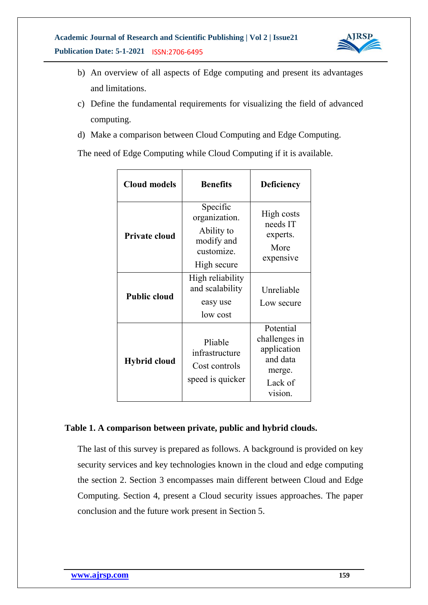

- b) An overview of all aspects of Edge computing and present its advantages and limitations.
- c) Define the fundamental requirements for visualizing the field of advanced computing.
- d) Make a comparison between Cloud Computing and Edge Computing.

The need of Edge Computing while Cloud Computing if it is available.

| <b>Cloud models</b>  | <b>Benefits</b>                                                                    | <b>Deficiency</b>                                                                     |
|----------------------|------------------------------------------------------------------------------------|---------------------------------------------------------------------------------------|
| <b>Private cloud</b> | Specific<br>organization.<br>Ability to<br>modify and<br>customize.<br>High secure | High costs<br>needs IT<br>experts.<br>More<br>expensive                               |
| <b>Public cloud</b>  | High reliability<br>and scalability<br>easy use<br>low cost                        | Unreliable<br>Low secure                                                              |
| <b>Hybrid cloud</b>  | Pliable<br>infrastructure<br>Cost controls<br>speed is quicker                     | Potential<br>challenges in<br>application<br>and data<br>merge.<br>Lack of<br>vision. |

#### **Table 1. A comparison between private, public and hybrid clouds.**

The last of this survey is prepared as follows. A background is provided on key security services and key technologies known in the cloud and edge computing the section 2. Section 3 encompasses main different between Cloud and Edge Computing. Section 4, present a Cloud security issues approaches. The paper conclusion and the future work present in Section 5.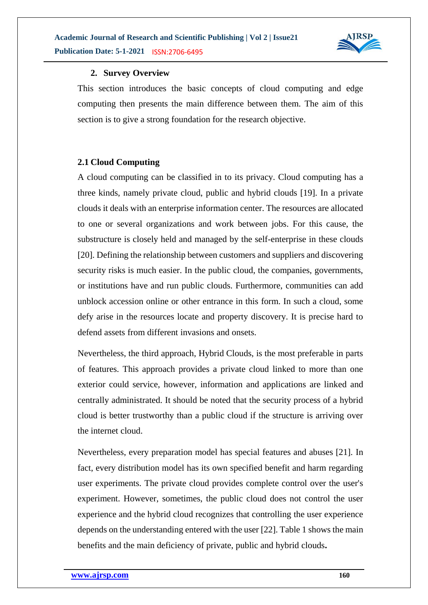

#### **2. Survey Overview**

This section introduces the basic concepts of cloud computing and edge computing then presents the main difference between them. The aim of this section is to give a strong foundation for the research objective.

#### **2.1 Cloud Computing**

A cloud computing can be classified in to its privacy. Cloud computing has a three kinds, namely private cloud, public and hybrid clouds [19]. In a private clouds it deals with an enterprise information center. The resources are allocated to one or several organizations and work between jobs. For this cause, the substructure is closely held and managed by the self-enterprise in these clouds [20]. Defining the relationship between customers and suppliers and discovering security risks is much easier. In the public cloud, the companies, governments, or institutions have and run public clouds. Furthermore, communities can add unblock accession online or other entrance in this form. In such a cloud, some defy arise in the resources locate and property discovery. It is precise hard to defend assets from different invasions and onsets.

Nevertheless, the third approach, Hybrid Clouds, is the most preferable in parts of features. This approach provides a private cloud linked to more than one exterior could service, however, information and applications are linked and centrally administrated. It should be noted that the security process of a hybrid cloud is better trustworthy than a public cloud if the structure is arriving over the internet cloud.

Nevertheless, every preparation model has special features and abuses [21]. In fact, every distribution model has its own specified benefit and harm regarding user experiments. The private cloud provides complete control over the user's experiment. However, sometimes, the public cloud does not control the user experience and the hybrid cloud recognizes that controlling the user experience depends on the understanding entered with the user [22]. Table 1 shows the main benefits and the main deficiency of private, public and hybrid clouds**.**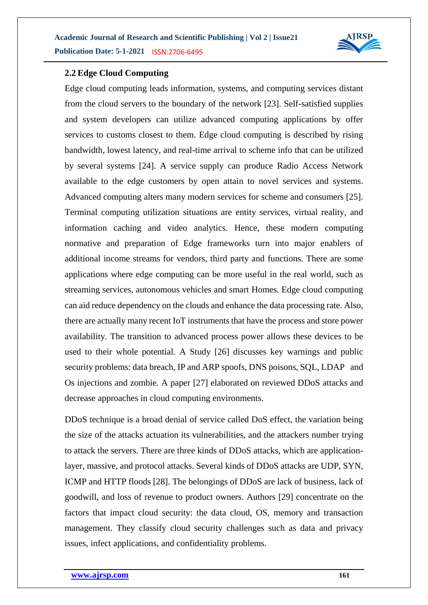

#### **2.2 Edge Cloud Computing**

Edge cloud computing leads information, systems, and computing services distant from the cloud servers to the boundary of the network [23]. Self-satisfied supplies and system developers can utilize advanced computing applications by offer services to customs closest to them. Edge cloud computing is described by rising bandwidth, lowest latency, and real-time arrival to scheme info that can be utilized by several systems [24]. A service supply can produce Radio Access Network available to the edge customers by open attain to novel services and systems. Advanced computing alters many modern services for scheme and consumers [25]. Terminal computing utilization situations are entity services, virtual reality, and information caching and video analytics. Hence, these modern computing normative and preparation of Edge frameworks turn into major enablers of additional income streams for vendors, third party and functions. There are some applications where edge computing can be more useful in the real world, such as streaming services, autonomous vehicles and smart Homes. Edge cloud computing can aid reduce dependency on the clouds and enhance the data processing rate. Also, there are actually many recent IoT instruments that have the process and store power availability. The transition to advanced process power allows these devices to be used to their whole potential. A Study [26] discusses key warnings and public security problems: data breach, IP and ARP spoofs, DNS poisons, SQL, LDAP and Os injections and zombie. A paper [27] elaborated on reviewed DDoS attacks and decrease approaches in cloud computing environments.

DDoS technique is a broad denial of service called DoS effect, the variation being the size of the attacks actuation its vulnerabilities, and the attackers number trying to attack the servers. There are three kinds of DDoS attacks, which are applicationlayer, massive, and protocol attacks. Several kinds of DDoS attacks are UDP, SYN, ICMP and HTTP floods [28]. The belongings of DDoS are lack of business, lack of goodwill, and loss of revenue to product owners. Authors [29] concentrate on the factors that impact cloud security: the data cloud, OS, memory and transaction management. They classify cloud security challenges such as data and privacy issues, infect applications, and confidentiality problems.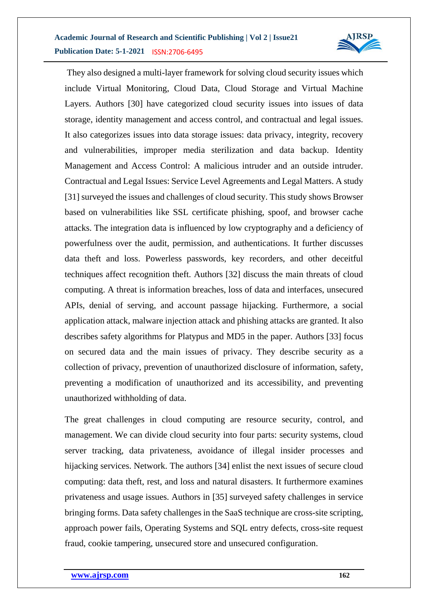

They also designed a multi-layer framework for solving cloud security issues which include Virtual Monitoring, Cloud Data, Cloud Storage and Virtual Machine Layers. Authors [30] have categorized cloud security issues into issues of data storage, identity management and access control, and contractual and legal issues. It also categorizes issues into data storage issues: data privacy, integrity, recovery and vulnerabilities, improper media sterilization and data backup. Identity Management and Access Control: A malicious intruder and an outside intruder. Contractual and Legal Issues: Service Level Agreements and Legal Matters. A study [31] surveyed the issues and challenges of cloud security. This study shows Browser based on vulnerabilities like SSL certificate phishing, spoof, and browser cache attacks. The integration data is influenced by low cryptography and a deficiency of powerfulness over the audit, permission, and authentications. It further discusses data theft and loss. Powerless passwords, key recorders, and other deceitful techniques affect recognition theft. Authors [32] discuss the main threats of cloud computing. A threat is information breaches, loss of data and interfaces, unsecured APIs, denial of serving, and account passage hijacking. Furthermore, a social application attack, malware injection attack and phishing attacks are granted. It also describes safety algorithms for Platypus and MD5 in the paper. Authors [33] focus on secured data and the main issues of privacy. They describe security as a collection of privacy, prevention of unauthorized disclosure of information, safety, preventing a modification of unauthorized and its accessibility, and preventing unauthorized withholding of data.

The great challenges in cloud computing are resource security, control, and management. We can divide cloud security into four parts: security systems, cloud server tracking, data privateness, avoidance of illegal insider processes and hijacking services. Network. The authors [34] enlist the next issues of secure cloud computing: data theft, rest, and loss and natural disasters. It furthermore examines privateness and usage issues. Authors in [35] surveyed safety challenges in service bringing forms. Data safety challenges in the SaaS technique are cross-site scripting, approach power fails, Operating Systems and SQL entry defects, cross-site request fraud, cookie tampering, unsecured store and unsecured configuration.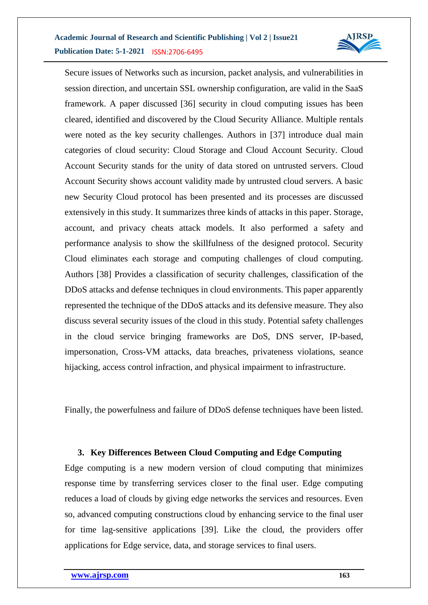

Secure issues of Networks such as incursion, packet analysis, and vulnerabilities in session direction, and uncertain SSL ownership configuration, are valid in the SaaS framework. A paper discussed [36] security in cloud computing issues has been cleared, identified and discovered by the Cloud Security Alliance. Multiple rentals were noted as the key security challenges. Authors in [37] introduce dual main categories of cloud security: Cloud Storage and Cloud Account Security. Cloud Account Security stands for the unity of data stored on untrusted servers. Cloud Account Security shows account validity made by untrusted cloud servers. A basic new Security Cloud protocol has been presented and its processes are discussed extensively in this study. It summarizes three kinds of attacks in this paper. Storage, account, and privacy cheats attack models. It also performed a safety and performance analysis to show the skillfulness of the designed protocol. Security Cloud eliminates each storage and computing challenges of cloud computing. Authors [38] Provides a classification of security challenges, classification of the DDoS attacks and defense techniques in cloud environments. This paper apparently represented the technique of the DDoS attacks and its defensive measure. They also discuss several security issues of the cloud in this study. Potential safety challenges in the cloud service bringing frameworks are DoS, DNS server, IP-based, impersonation, Cross-VM attacks, data breaches, privateness violations, seance hijacking, access control infraction, and physical impairment to infrastructure.

Finally, the powerfulness and failure of DDoS defense techniques have been listed.

## **3. Key Differences Between Cloud Computing and Edge Computing**

Edge computing is a new modern version of cloud computing that minimizes response time by transferring services closer to the final user. Edge computing reduces a load of clouds by giving edge networks the services and resources. Even so, advanced computing constructions cloud by enhancing service to the final user for time lag-sensitive applications [39]. Like the cloud, the providers offer applications for Edge service, data, and storage services to final users.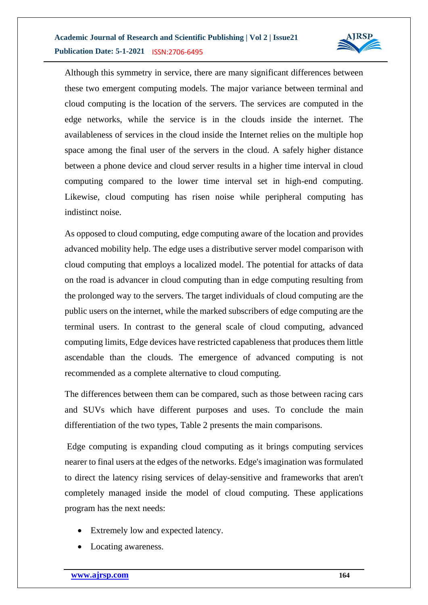

Although this symmetry in service, there are many significant differences between these two emergent computing models. The major variance between terminal and cloud computing is the location of the servers. The services are computed in the edge networks, while the service is in the clouds inside the internet. The availableness of services in the cloud inside the Internet relies on the multiple hop space among the final user of the servers in the cloud. A safely higher distance between a phone device and cloud server results in a higher time interval in cloud computing compared to the lower time interval set in high-end computing. Likewise, cloud computing has risen noise while peripheral computing has indistinct noise.

As opposed to cloud computing, edge computing aware of the location and provides advanced mobility help. The edge uses a distributive server model comparison with cloud computing that employs a localized model. The potential for attacks of data on the road is advancer in cloud computing than in edge computing resulting from the prolonged way to the servers. The target individuals of cloud computing are the public users on the internet, while the marked subscribers of edge computing are the terminal users. In contrast to the general scale of cloud computing, advanced computing limits, Edge devices have restricted capableness that produces them little ascendable than the clouds. The emergence of advanced computing is not recommended as a complete alternative to cloud computing.

The differences between them can be compared, such as those between racing cars and SUVs which have different purposes and uses. To conclude the main differentiation of the two types, Table 2 presents the main comparisons.

Edge computing is expanding cloud computing as it brings computing services nearer to final users at the edges of the networks. Edge's imagination was formulated to direct the latency rising services of delay-sensitive and frameworks that aren't completely managed inside the model of cloud computing. These applications program has the next needs:

- Extremely low and expected latency.
- Locating awareness.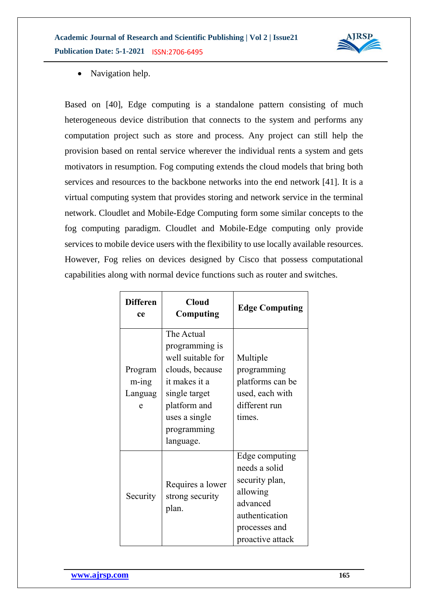**Academic Journal of Research and Scientific Publishing | Vol 2 | Issue21 Publication Date: 5-1-2021**  ISSN:2706-6495



• Navigation help.

Based on [40], Edge computing is a standalone pattern consisting of much heterogeneous device distribution that connects to the system and performs any computation project such as store and process. Any project can still help the provision based on rental service wherever the individual rents a system and gets motivators in resumption. Fog computing extends the cloud models that bring both services and resources to the backbone networks into the end network [41]. It is a virtual computing system that provides storing and network service in the terminal network. Cloudlet and Mobile-Edge Computing form some similar concepts to the fog computing paradigm. Cloudlet and Mobile-Edge computing only provide services to mobile device users with the flexibility to use locally available resources. However, Fog relies on devices designed by Cisco that possess computational capabilities along with normal device functions such as router and switches.

| <b>Differen</b><br>ce            | <b>Cloud</b><br>Computing                                                                                                                                           | <b>Edge Computing</b>                                                                                                            |
|----------------------------------|---------------------------------------------------------------------------------------------------------------------------------------------------------------------|----------------------------------------------------------------------------------------------------------------------------------|
| Program<br>m-ing<br>Languag<br>e | The Actual<br>programming is<br>well suitable for<br>clouds, because<br>it makes it a<br>single target<br>platform and<br>uses a single<br>programming<br>language. | Multiple<br>programming<br>platforms can be<br>used, each with<br>different run<br>times.                                        |
| Security                         | Requires a lower<br>strong security<br>plan.                                                                                                                        | Edge computing<br>needs a solid<br>security plan,<br>allowing<br>advanced<br>authentication<br>processes and<br>proactive attack |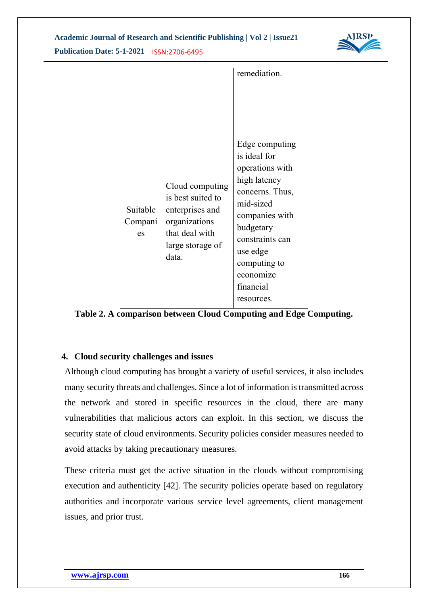**Academic Journal of Research and Scientific Publishing | Vol 2 | Issue21**



**Publication Date: 5-1-2021**  ISSN:2706-6495

|                           |                                                                                                                         | remediation.                                                                                                                                                                                                            |
|---------------------------|-------------------------------------------------------------------------------------------------------------------------|-------------------------------------------------------------------------------------------------------------------------------------------------------------------------------------------------------------------------|
| Suitable<br>Compani<br>es | Cloud computing<br>is best suited to<br>enterprises and<br>organizations<br>that deal with<br>large storage of<br>data. | Edge computing<br>is ideal for<br>operations with<br>high latency<br>concerns. Thus,<br>mid-sized<br>companies with<br>budgetary<br>constraints can<br>use edge<br>computing to<br>economize<br>financial<br>resources. |

**Table 2. A comparison between Cloud Computing and Edge Computing.**

## **4. Cloud security challenges and issues**

Although cloud computing has brought a variety of useful services, it also includes many security threats and challenges. Since a lot of information is transmitted across the network and stored in specific resources in the cloud, there are many vulnerabilities that malicious actors can exploit. In this section, we discuss the security state of cloud environments. Security policies consider measures needed to avoid attacks by taking precautionary measures.

These criteria must get the active situation in the clouds without compromising execution and authenticity [42]. The security policies operate based on regulatory authorities and incorporate various service level agreements, client management issues, and prior trust.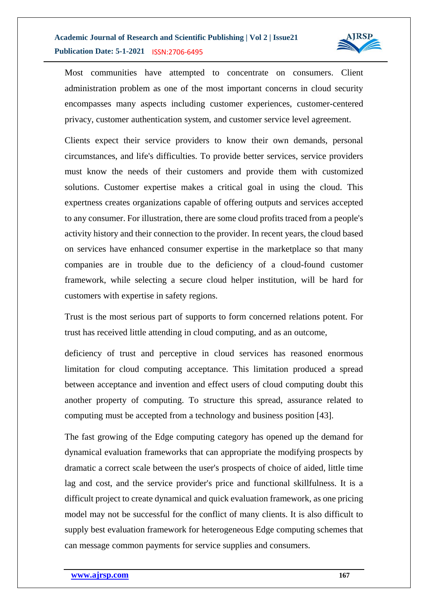

Most communities have attempted to concentrate on consumers. Client administration problem as one of the most important concerns in cloud security encompasses many aspects including customer experiences, customer-centered privacy, customer authentication system, and customer service level agreement.

Clients expect their service providers to know their own demands, personal circumstances, and life's difficulties. To provide better services, service providers must know the needs of their customers and provide them with customized solutions. Customer expertise makes a critical goal in using the cloud. This expertness creates organizations capable of offering outputs and services accepted to any consumer. For illustration, there are some cloud profits traced from a people's activity history and their connection to the provider. In recent years, the cloud based on services have enhanced consumer expertise in the marketplace so that many companies are in trouble due to the deficiency of a cloud-found customer framework, while selecting a secure cloud helper institution, will be hard for customers with expertise in safety regions.

Trust is the most serious part of supports to form concerned relations potent. For trust has received little attending in cloud computing, and as an outcome,

deficiency of trust and perceptive in cloud services has reasoned enormous limitation for cloud computing acceptance. This limitation produced a spread between acceptance and invention and effect users of cloud computing doubt this another property of computing. To structure this spread, assurance related to computing must be accepted from a technology and business position [43].

The fast growing of the Edge computing category has opened up the demand for dynamical evaluation frameworks that can appropriate the modifying prospects by dramatic a correct scale between the user's prospects of choice of aided, little time lag and cost, and the service provider's price and functional skillfulness. It is a difficult project to create dynamical and quick evaluation framework, as one pricing model may not be successful for the conflict of many clients. It is also difficult to supply best evaluation framework for heterogeneous Edge computing schemes that can message common payments for service supplies and consumers.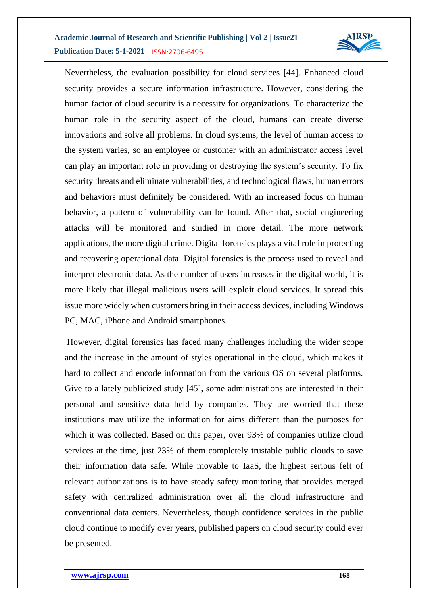

Nevertheless, the evaluation possibility for cloud services [44]. Enhanced cloud security provides a secure information infrastructure. However, considering the human factor of cloud security is a necessity for organizations. To characterize the human role in the security aspect of the cloud, humans can create diverse innovations and solve all problems. In cloud systems, the level of human access to the system varies, so an employee or customer with an administrator access level can play an important role in providing or destroying the system's security. To fix security threats and eliminate vulnerabilities, and technological flaws, human errors and behaviors must definitely be considered. With an increased focus on human behavior, a pattern of vulnerability can be found. After that, social engineering attacks will be monitored and studied in more detail. The more network applications, the more digital crime. Digital forensics plays a vital role in protecting and recovering operational data. Digital forensics is the process used to reveal and interpret electronic data. As the number of users increases in the digital world, it is more likely that illegal malicious users will exploit cloud services. It spread this issue more widely when customers bring in their access devices, including Windows PC, MAC, iPhone and Android smartphones.

However, digital forensics has faced many challenges including the wider scope and the increase in the amount of styles operational in the cloud, which makes it hard to collect and encode information from the various OS on several platforms. Give to a lately publicized study [45], some administrations are interested in their personal and sensitive data held by companies. They are worried that these institutions may utilize the information for aims different than the purposes for which it was collected. Based on this paper, over 93% of companies utilize cloud services at the time, just 23% of them completely trustable public clouds to save their information data safe. While movable to IaaS, the highest serious felt of relevant authorizations is to have steady safety monitoring that provides merged safety with centralized administration over all the cloud infrastructure and conventional data centers. Nevertheless, though confidence services in the public cloud continue to modify over years, published papers on cloud security could ever be presented.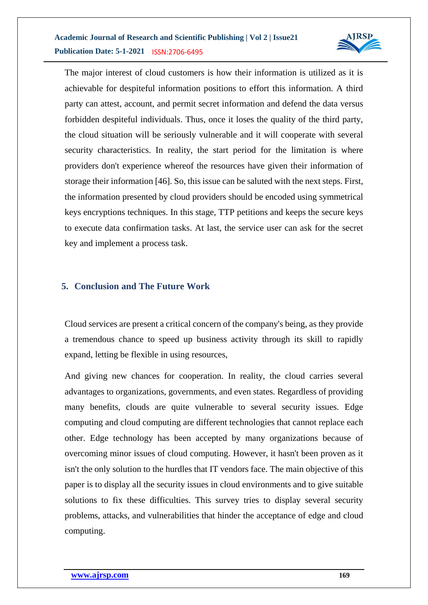

The major interest of cloud customers is how their information is utilized as it is achievable for despiteful information positions to effort this information. A third party can attest, account, and permit secret information and defend the data versus forbidden despiteful individuals. Thus, once it loses the quality of the third party, the cloud situation will be seriously vulnerable and it will cooperate with several security characteristics. In reality, the start period for the limitation is where providers don't experience whereof the resources have given their information of storage their information [46]. So, this issue can be saluted with the next steps. First, the information presented by cloud providers should be encoded using symmetrical keys encryptions techniques. In this stage, TTP petitions and keeps the secure keys to execute data confirmation tasks. At last, the service user can ask for the secret key and implement a process task.

#### **5. Conclusion and The Future Work**

Cloud services are present a critical concern of the company's being, as they provide a tremendous chance to speed up business activity through its skill to rapidly expand, letting be flexible in using resources,

And giving new chances for cooperation. In reality, the cloud carries several advantages to organizations, governments, and even states. Regardless of providing many benefits, clouds are quite vulnerable to several security issues. Edge computing and cloud computing are different technologies that cannot replace each other. Edge technology has been accepted by many organizations because of overcoming minor issues of cloud computing. However, it hasn't been proven as it isn't the only solution to the hurdles that IT vendors face. The main objective of this paper is to display all the security issues in cloud environments and to give suitable solutions to fix these difficulties. This survey tries to display several security problems, attacks, and vulnerabilities that hinder the acceptance of edge and cloud computing.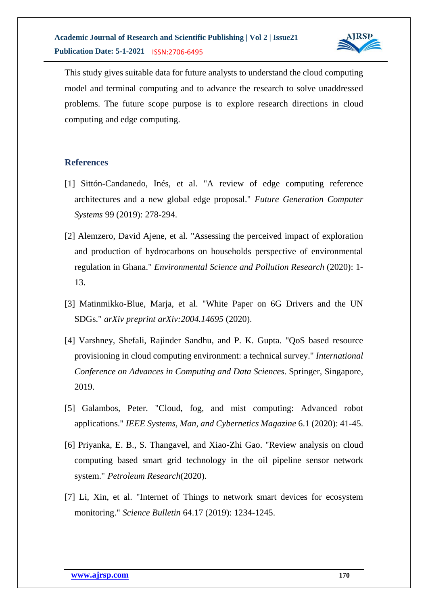

This study gives suitable data for future analysts to understand the cloud computing model and terminal computing and to advance the research to solve unaddressed problems. The future scope purpose is to explore research directions in cloud computing and edge computing.

#### **References**

- [1] Sittón-Candanedo, Inés, et al. "A review of edge computing reference architectures and a new global edge proposal." *Future Generation Computer Systems* 99 (2019): 278-294.
- [2] Alemzero, David Ajene, et al. "Assessing the perceived impact of exploration and production of hydrocarbons on households perspective of environmental regulation in Ghana." *Environmental Science and Pollution Research* (2020): 1- 13.
- [3] Matinmikko-Blue, Marja, et al. "White Paper on 6G Drivers and the UN SDGs." *arXiv preprint arXiv:2004.14695* (2020).
- [4] Varshney, Shefali, Rajinder Sandhu, and P. K. Gupta. "QoS based resource provisioning in cloud computing environment: a technical survey." *International Conference on Advances in Computing and Data Sciences*. Springer, Singapore, 2019.
- [5] Galambos, Peter. "Cloud, fog, and mist computing: Advanced robot applications." *IEEE Systems, Man, and Cybernetics Magazine* 6.1 (2020): 41-45.
- [6] Priyanka, E. B., S. Thangavel, and Xiao-Zhi Gao. "Review analysis on cloud computing based smart grid technology in the oil pipeline sensor network system." *Petroleum Research*(2020).
- [7] Li, Xin, et al. "Internet of Things to network smart devices for ecosystem monitoring." *Science Bulletin* 64.17 (2019): 1234-1245.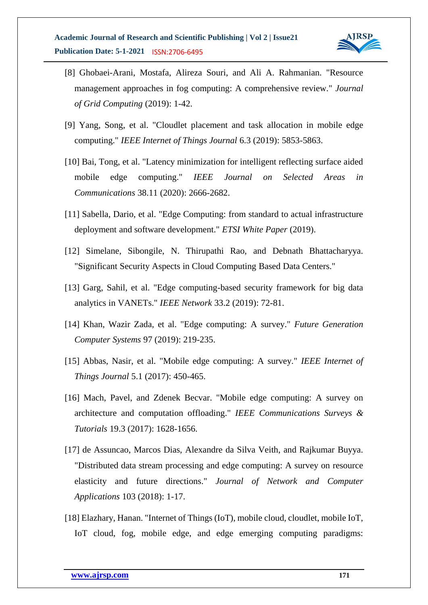

- [8] Ghobaei-Arani, Mostafa, Alireza Souri, and Ali A. Rahmanian. "Resource management approaches in fog computing: A comprehensive review." *Journal of Grid Computing* (2019): 1-42.
- [9] Yang, Song, et al. "Cloudlet placement and task allocation in mobile edge computing." *IEEE Internet of Things Journal* 6.3 (2019): 5853-5863.
- [10] Bai, Tong, et al. "Latency minimization for intelligent reflecting surface aided mobile edge computing." *IEEE Journal on Selected Areas in Communications* 38.11 (2020): 2666-2682.
- [11] Sabella, Dario, et al. "Edge Computing: from standard to actual infrastructure deployment and software development." *ETSI White Paper* (2019).
- [12] Simelane, Sibongile, N. Thirupathi Rao, and Debnath Bhattacharyya. "Significant Security Aspects in Cloud Computing Based Data Centers."
- [13] Garg, Sahil, et al. "Edge computing-based security framework for big data analytics in VANETs." *IEEE Network* 33.2 (2019): 72-81.
- [14] Khan, Wazir Zada, et al. "Edge computing: A survey." *Future Generation Computer Systems* 97 (2019): 219-235.
- [15] Abbas, Nasir, et al. "Mobile edge computing: A survey." *IEEE Internet of Things Journal* 5.1 (2017): 450-465.
- [16] Mach, Pavel, and Zdenek Becvar. "Mobile edge computing: A survey on architecture and computation offloading." *IEEE Communications Surveys & Tutorials* 19.3 (2017): 1628-1656.
- [17] de Assuncao, Marcos Dias, Alexandre da Silva Veith, and Rajkumar Buyya. "Distributed data stream processing and edge computing: A survey on resource elasticity and future directions." *Journal of Network and Computer Applications* 103 (2018): 1-17.
- [18] Elazhary, Hanan. "Internet of Things (IoT), mobile cloud, cloudlet, mobile IoT, IoT cloud, fog, mobile edge, and edge emerging computing paradigms: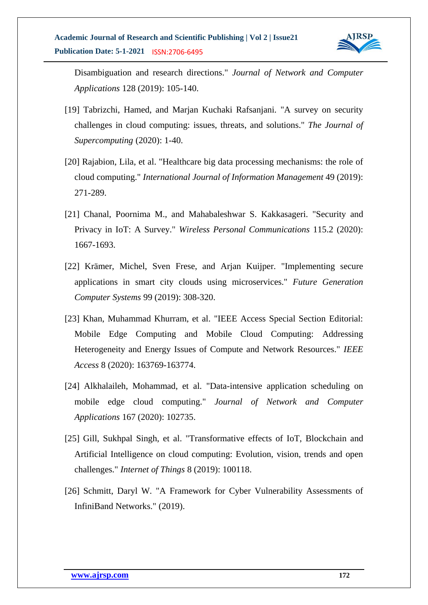

Disambiguation and research directions." *Journal of Network and Computer Applications* 128 (2019): 105-140.

- [19] Tabrizchi, Hamed, and Marjan Kuchaki Rafsanjani. "A survey on security challenges in cloud computing: issues, threats, and solutions." *The Journal of Supercomputing* (2020): 1-40.
- [20] Rajabion, Lila, et al. "Healthcare big data processing mechanisms: the role of cloud computing." *International Journal of Information Management* 49 (2019): 271-289.
- [21] Chanal, Poornima M., and Mahabaleshwar S. Kakkasageri. "Security and Privacy in IoT: A Survey." *Wireless Personal Communications* 115.2 (2020): 1667-1693.
- [22] Krämer, Michel, Sven Frese, and Arjan Kuijper. "Implementing secure applications in smart city clouds using microservices." *Future Generation Computer Systems* 99 (2019): 308-320.
- [23] Khan, Muhammad Khurram, et al. "IEEE Access Special Section Editorial: Mobile Edge Computing and Mobile Cloud Computing: Addressing Heterogeneity and Energy Issues of Compute and Network Resources." *IEEE Access* 8 (2020): 163769-163774.
- [24] Alkhalaileh, Mohammad, et al. "Data-intensive application scheduling on mobile edge cloud computing." *Journal of Network and Computer Applications* 167 (2020): 102735.
- [25] Gill, Sukhpal Singh, et al. "Transformative effects of IoT, Blockchain and Artificial Intelligence on cloud computing: Evolution, vision, trends and open challenges." *Internet of Things* 8 (2019): 100118.
- [26] Schmitt, Daryl W. "A Framework for Cyber Vulnerability Assessments of InfiniBand Networks." (2019).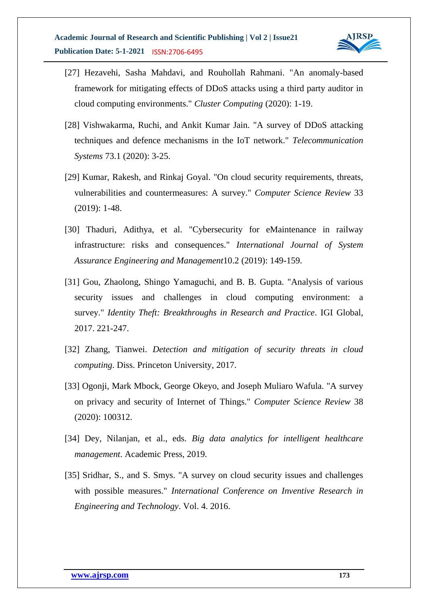

- [27] Hezavehi, Sasha Mahdavi, and Rouhollah Rahmani. "An anomaly-based framework for mitigating effects of DDoS attacks using a third party auditor in cloud computing environments." *Cluster Computing* (2020): 1-19.
- [28] Vishwakarma, Ruchi, and Ankit Kumar Jain. "A survey of DDoS attacking techniques and defence mechanisms in the IoT network." *Telecommunication Systems* 73.1 (2020): 3-25.
- [29] Kumar, Rakesh, and Rinkaj Goyal. "On cloud security requirements, threats, vulnerabilities and countermeasures: A survey." *Computer Science Review* 33 (2019): 1-48.
- [30] Thaduri, Adithya, et al. "Cybersecurity for eMaintenance in railway infrastructure: risks and consequences." *International Journal of System Assurance Engineering and Management*10.2 (2019): 149-159.
- [31] Gou, Zhaolong, Shingo Yamaguchi, and B. B. Gupta. "Analysis of various security issues and challenges in cloud computing environment: a survey." *Identity Theft: Breakthroughs in Research and Practice*. IGI Global, 2017. 221-247.
- [32] Zhang, Tianwei. *Detection and mitigation of security threats in cloud computing*. Diss. Princeton University, 2017.
- [33] Ogonji, Mark Mbock, George Okeyo, and Joseph Muliaro Wafula. "A survey on privacy and security of Internet of Things." *Computer Science Review* 38 (2020): 100312.
- [34] Dey, Nilanjan, et al., eds. *Big data analytics for intelligent healthcare management*. Academic Press, 2019.
- [35] Sridhar, S., and S. Smys. "A survey on cloud security issues and challenges with possible measures." *International Conference on Inventive Research in Engineering and Technology*. Vol. 4. 2016.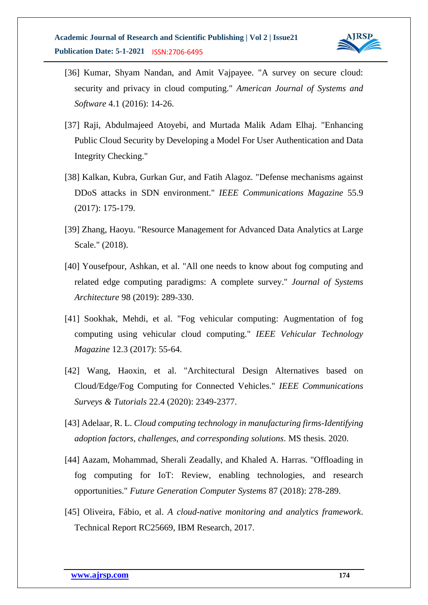

- [36] Kumar, Shyam Nandan, and Amit Vajpayee. "A survey on secure cloud: security and privacy in cloud computing." *American Journal of Systems and Software* 4.1 (2016): 14-26.
- [37] Raji, Abdulmajeed Atoyebi, and Murtada Malik Adam Elhaj. "Enhancing Public Cloud Security by Developing a Model For User Authentication and Data Integrity Checking."
- [38] Kalkan, Kubra, Gurkan Gur, and Fatih Alagoz. "Defense mechanisms against DDoS attacks in SDN environment." *IEEE Communications Magazine* 55.9 (2017): 175-179.
- [39] Zhang, Haoyu. "Resource Management for Advanced Data Analytics at Large Scale." (2018).
- [40] Yousefpour, Ashkan, et al. "All one needs to know about fog computing and related edge computing paradigms: A complete survey." *Journal of Systems Architecture* 98 (2019): 289-330.
- [41] Sookhak, Mehdi, et al. "Fog vehicular computing: Augmentation of fog computing using vehicular cloud computing." *IEEE Vehicular Technology Magazine* 12.3 (2017): 55-64.
- [42] Wang, Haoxin, et al. "Architectural Design Alternatives based on Cloud/Edge/Fog Computing for Connected Vehicles." *IEEE Communications Surveys & Tutorials* 22.4 (2020): 2349-2377.
- [43] Adelaar, R. L. *Cloud computing technology in manufacturing firms-Identifying adoption factors, challenges, and corresponding solutions*. MS thesis. 2020.
- [44] Aazam, Mohammad, Sherali Zeadally, and Khaled A. Harras. "Offloading in fog computing for IoT: Review, enabling technologies, and research opportunities." *Future Generation Computer Systems* 87 (2018): 278-289.
- [45] Oliveira, Fábio, et al. *A cloud-native monitoring and analytics framework*. Technical Report RC25669, IBM Research, 2017.